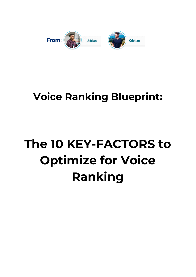

## **Voice Ranking Blueprint:**

# **The 10 KEY-FACTORS to Optimize for Voice Ranking**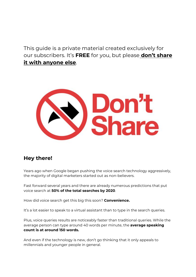This guide is a private material created exclusively for our subscribers. It's **FREE** for you, but please **don't share it with anyone else**.



#### **Hey there!**

Years ago when Google began pushing the voice search technology aggressively, the majority of digital marketers started out as non-believers.

Fast forward several years and there are already numerous predictions that put voice search at **50% of the total searches by 2020**.

How did voice search get this big this soon? **Convenience.**

It's a lot easier to speak to a virtual assistant than to type in the search queries.

Plus, voice queries results are noticeably faster than traditional queries. While the average person can type around 40 words per minute, the **average speaking count is at around 150 words.**

And even if the technology is new, don't go thinking that it only appeals to millennials and younger people in general.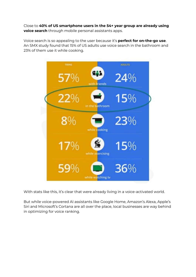Close to **40% of US smartphone users in the 54+ year group are already using voice search** through mobile personal assistants apps.

Voice search is so appealing to the user because it's **perfect for on-the-go use**. An SMX study found that 15% of US adults use voice search in the bathroom and 23% of them use it while cooking.



With stats like this, it's clear that were already living in a voice-activated world.

But while voice-powered AI assistants like Google Home, Amazon's Alexa, Apple's Siri and Microsoft's Cortana are all over the place, local businesses are way behind in optimizing for voice ranking.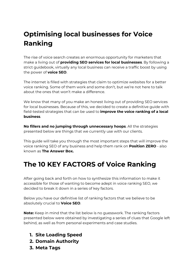## **Optimising local businesses for Voice Ranking**

The rise of voice search creates an enormous opportunity for marketers that make a living out of **providing SEO services for local businesses**. By following a strict guidebook, virtually any local business can receive a traffic boost by using the power of **voice SEO**.

The internet is filled with strategies that claim to optimize websites for a better voice ranking. Some of them work and some don't, but we're not here to talk about the ones that won't make a difference.

We know that many of you make an honest living out of providing SEO services for local businesses. Because of this, we decided to create a definitive guide with field-tested strategies that can be used to **improve the voice ranking of a local business**.

**No fillers and no jumping through unnecessary hoops**. All the strategies presented below are things that we currently use with our clients.

This guide will take you through the most important steps that will improve the voice ranking SEO of any business and help them rank on **Position ZERO** - also known as **The Answer Box.**

### **The 10 KEY FACTORS of Voice Ranking**

After going back and forth on how to synthesize this information to make it accessible for those of wanting to become adept in voice ranking SEO, we decided to break it down in a series of key factors.

Below you have our definitive list of ranking factors that we believe to be absolutely crucial to **Voice SEO**.

**Note:** Keep in mind that the list below is no guesswork. The ranking factors presented below were obtained by investigating a series of clues that Google left behind, as well as from personal experiments and case studies.

- **1. Site Loading Speed**
- **2. Domain Authority**
- **3. Meta Tags**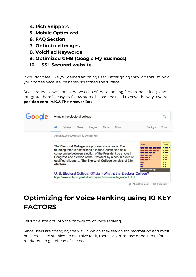- **4. Rich Snippets**
- **5. Mobile Optimized**
- **6. FAQ Section**
- **7. Optimized Images**
- **8. Voicified Keywords**
- **9. Optimized GMB (Google My Business)**
- **10. SSL Secured website**

If you don't feel like you gained anything useful after going through this list, hold your horses because we barely scratched the surface.

Stick around as we'll break down each of these ranking factors individually and integrate them in easy-to-follow steps that can be used to pave the way towards **position zero (A.K.A The Answer Box)**.

| Google | what is the electoral college                                                                                            |                                             |
|--------|--------------------------------------------------------------------------------------------------------------------------|---------------------------------------------|
|        | All<br>Videos<br>Settings<br><b>News</b><br>More<br>Images<br>Maps                                                       | Tools                                       |
|        | About 28,900,000 results (0.90 seconds)                                                                                  |                                             |
|        | Voters                                                                                                                   | Electoral<br>College                        |
|        | The <b>Electoral College</b> is a process, not a place. The<br>founding fathers established it in the Constitution as a  | 2 22222<br><b>2 20000</b><br><b>g</b> 60000 |
|        | compromise between election of the President by a vote in<br>Congress and election of the President by a popular vote of | <b>g</b> 1000<br>$8 - 1$<br>2000            |
|        | qualified citizens.  The Electoral College consists of 538<br>electors.                                                  | $\bullet$<br>$\cdot$<br>$\bullet$           |
|        | en.wikipedia.org<br>U. S. Electoral College, Official - What is the Electoral College?                                   |                                             |
|        | https://www.archives.gov/federal-register/electoral-college/about.html                                                   |                                             |
|        | About this result                                                                                                        | Feedback                                    |

## **Optimizing for Voice Ranking using 10 KEY FACTORS**

Let's dive straight into the nitty-gritty of voice ranking.

Since users are changing the way in which they search for information and most businesses are still slow to optimize for it, there's an immense opportunity for marketers to get ahead of the pack.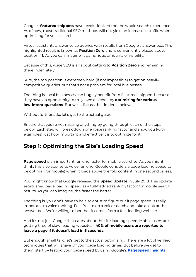Google's **featured snippets** have revolutionized the the whole search experience. As of now, most traditional SEO methods will not yield an increase in traffic when optimizing for voice search.

Virtual assistants answer voice queries with results from Google's answer box. This highlighted result is known as **Position Zero** and is conveniently placed above position **#1.** As you can imagine, it gains huge amounts of visibility.

Because of this, voice SEO is all about getting to **Position Zero** and remaining there indefinitely.

Sure, the top position is extremely hard (if not impossible) to get on heavily competitive queries, but that's not a problem for local businesses.

The thing is, local businesses can hugely benefit from featured snippets because they have an opportunity to truly own a niche - by **optimizing for various low-intent questions**. But we'll discuss that in detail below.

Without further ado, let's get to the actual guide.

Ensure that you're not missing anything by going through each of the steps below. Each step will break down one voice ranking factor and show you (with examples) just how important and effective it is to optimize for it.

#### **Step 1: Optimizing the Site's Loading Speed**

**Page speed** is an important ranking factor for mobile searches. As you might think, this also applies to voice ranking. Google considers a page loading speed to be optimal (for mobile) when it loads above the fold content in one second or less.

You might know that Google released the **Speed Update** in July 2018. This update established page loading speed as a full-fledged ranking factor for mobile search results. As you can imagine, the faster the better.

The thing is, you don't have to be a scientist to figure out if page speed is really important to voice ranking. Feel free to do a voice search and take a look at the answer box. We're willing to bet that it comes from a fast-loading website.

And it's not just Google that cares about the site loading speed. Mobile users are getting tired of slow-loading websites - **40% of mobile users are reported to leave a page if it doesn't load in 3 seconds**.

But enough small talk, let's get to the actual optimizing. There are a lot of verified techniques that will shave off your page loading times. But before we get to them, start by testing your page speed by using Google's **[PageSpeed](https://developers.google.com/speed/pagespeed/insights/) Insights**.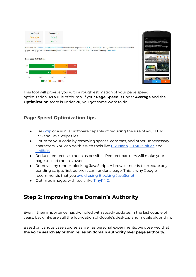| <b>Page Speed</b> | <b>Optimization</b> |  |
|-------------------|---------------------|--|
| Average           | Good                |  |
| 1.4s FCP 2.1s DCL | 85/100              |  |

Data from the Chrome User Experience Report indicates this page's median FCP (1.4s) and DCL (2.1s) ranks it in the middle third of all pages. This page has a good level of optimization because few of its resources are render-blocking. Learn more.





This tool will provide you with a rough estimation of your page speed optimization. As a rule of thumb, if your **Page Speed** is under **Average** and the **Optimization** score is under **70**, you got some work to do.

#### **Page Speed Optimization tips**

- Use [Gzip](https://www.gnu.org/software/gzip/) or a similar software capable of reducing the size of your HTML, CSS and JavaScript files.
- Optimize your code by removing spaces, commas, and other unnecessary characters. You can do this with tools like [CSSNano](https://github.com/ben-eb/cssnano), [HTMLMinifier](https://github.com/kangax/html-minifier), and [UglifyJS](https://github.com/mishoo/UglifyJS2).
- Reduce redirects as much as possible. Redirect partners will make your page to load much slower.
- Remove any render-blocking JavaScript. A browser needs to execute any pending scripts first before it can render a page. This is why Google recommends that you avoid using Blocking [JavaScript](https://developers.google.com/speed/docs/insights/BlockingJS).
- Optimize images with tools like [TinyPNG.](https://tinypng.com/)

#### **Step 2: Improving the Domain's Authority**

Even if their importance has dwindled with steady updates in the last couple of years, backlinks are still the foundation of Google's desktop and mobile algorithm.

Based on various case studies as well as personal experiments, we observed that **the voice search algorithm relies on domain authority over page authority**.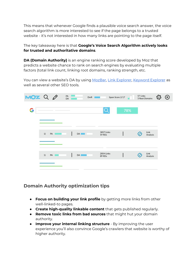This means that whenever Google finds a plausible voice search answer, the voice search algorithm is more interested to see if the page belongs to a trusted website - it's not interested in how many links are pointing to the page itself.

#### The key takeaway here is that **Google's Voice Search Algorithm actively looks for trusted and authoritative domains**.

**DA (Domain Authority)** is an engine ranking score developed by Moz that predicts a website chance to rank on search engines by evaluating multiple factors (total link count, linking root domains, ranking strength, etc.

You can view a website's DA by using [MozBar,](https://moz.com/products/pro/seo-toolbar) Link [Explorer](https://moz.com/link-explorer), [Keyword](https://moz.com/explorer) Explorer as well as several other SEO tools.



#### **Domain Authority optimization tips**

- **Focus on building your link profile** by getting more links from other well-linked-to pages.
- **Create high-quality linkable content** that gets published regularly.
- **Remove toxic links from bad sources** that might hut your domain authority.
- **Improve your internal linking structure** By improving the user experience you'll also convince Google's crawlers that website is worthy of higher authority.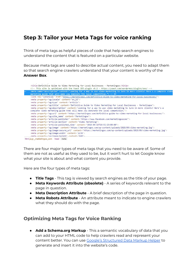#### **Step 3: Tailor your Meta Tags for voice ranking**

Think of meta tags as helpful pieces of code that help search engines to understand the content that is featured on a particular website.

Because meta tags are used to describe actual content, you need to adapt them so that search engine crawlers understand that your content is worthy of the **Answer Box**.

|          | <title>Definitive Guide to Video Marketing for Local Businesses - Marketingoo</title>                                                                                                                                                                                                                                             |
|----------|-----------------------------------------------------------------------------------------------------------------------------------------------------------------------------------------------------------------------------------------------------------------------------------------------------------------------------------|
|          | This site is optimized with the Yoast SEO plugin v8.2 - https://yoast.com/wordpress/plugins/seo/                                                                                                                                                                                                                                  |
| $\cdots$ | <meta content="Looking for a way to use video marketing to lure in more clients? Here's a complete video&lt;br&gt;marketing guide that will make you dominate the local competition." name="description"/> == $$0$                                                                                                                |
|          | <link href="https://marketingoo.com/definitive-guide-to-video-marketing-for-local-businesses/" rel="canonical"/><br><meta content="en US" property="og:locale"/><br><meta content="article" property="og:type"/>                                                                                                                  |
|          | <meta content="Definitive Guide to Video Marketing for Local Businesses - Marketingoo" property="og:title"/><br><meta content="Looking for a way to use video marketing to lure in more clients? Here's a&lt;br&gt;complete video marketing guide that will make you dominate the local competition." property="og:description"/> |
|          | <meta content="https://marketingoo.com/definitive-guide-to-video-marketing-for-local-businesses/" property="og:url"/><br><meta content="Marketingoo" property="og:site name"/>                                                                                                                                                    |
|          | <meta content="https://www.facebook.com/marketingoocom/" property="article:publisher"/><br><meta content="Video Marketing" property="article:section"/>                                                                                                                                                                           |
|          | <meta_property="article:published_time"_content="2018-09-19t10:42:15+00:00"></meta_property="article:published_time"_content="2018-09-19t10:42:15+00:00">                                                                                                                                                                         |
|          | <meta content="https://marketingoo.com/wp-content/uploads/2018/09/video-marketing.jpg" property="og:image"/><br><meta content="https://marketingoo.com/wp-content/uploads/2018/09/video-marketing.jpg" property="og:image:secure url"/><br><meta content="1170" property="og:image:width"/>                                       |
|          | <meta_property="og:image:height" content="640"><br/>html.js.gr_marketingoo_com head meta</meta_property="og:image:height">                                                                                                                                                                                                        |

There are four major types of meta tags that you need to be aware of. Some of them are not as useful as they used to be, but it won't hurt to let Google know what your site is about and what content you provide.

Here are the four types of meta tags:

- **Title Tags** This tag is viewed by search engines as the title of your page.
- **Meta Keywords Attribute (obsolete)** A series of keywords relevant to the page in question.
- **Meta Description Attribute** A brief description of the page in question.
- **Meta Robots Attribute** An attribute meant to indicate to engine crawlers what they should do with the page.

#### **Optimizing Meta Tags for Voice Ranking**

● **Add a Schema.org Markup** - This a semantic vocabulary of data that you can add to your HTML code to help crawlers read and represent your content better. You can use Google's [Structured](https://www.google.com/webmasters/markup-helper/u/0/) Data Markup Helper to generate and insert it into the website's code.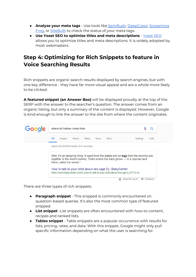- **Analyze your meta tags** Use tools like [SemRush,](https://www.googleadservices.com/pagead/aclk?sa=L&ai=DChcSEwja85-pys7dAhWXlBgKHZkZD5UYABAAGgJsZQ&ohost=www.google.ro&cid=CAESEeD2wHPskSV1dXUdb0uDjLQ0&sig=AOD64_2nMxbGy9MprQA93OzeDWBdyBT8TA&q=&ved=2ahUKEwjokZqpys7dAhVGjywKHTvwD5EQ0Qx6BAgAEAI&adurl=) [DeepCrawl](https://www.deepcrawl.com/), [Screaming](https://www.screamingfrog.co.uk/seo-spider/) [Frog,](https://www.screamingfrog.co.uk/seo-spider/) or [SiteBulb](https://sitebulb.com/) to check the status of your meta tags.
- **Use Yoast SEO to optimize titles and meta descriptions** [Yoast](https://yoast.com/wordpress/plugins/seo/titles-and-meta-descriptions/) SEO allows you to optimize titles and meta descriptions. It is widely adopted by most webmasters.

#### **Step 4: Optimizing for Rich Snippets to feature in Voice Searching Results**

Rich snippets are organic search results displayed by search engines, but with one key difference - they have far more visual appeal and are a whole more likely to be clicked.

**A featured snippet (an Answer Box)** will be displayed proudly at the top of the SERP with the answer to the searcher's question. The answer comes from an organic listing, but only a summary of the content is displayed. However, Google is kind enough to link the answer to the site from where the content originates.

| Google | where do babies come from                                                                                                                                                                     |                                        |  |  |  |
|--------|-----------------------------------------------------------------------------------------------------------------------------------------------------------------------------------------------|----------------------------------------|--|--|--|
|        | All<br>More<br>Videos<br>Maps<br><b>News</b><br>Images                                                                                                                                        | Settings<br>Tools                      |  |  |  |
|        | About 438,000,000 results (0.57 seconds)                                                                                                                                                      |                                        |  |  |  |
|        | Well, it's an amazing thing: A seed from the daddy and an egg from the mommy join<br>together in the mom's tummy. That's where the baby grows — in a special sack<br>there, called the womb." |                                        |  |  |  |
|        | How to talk to your child about sex (age 5)   BabyCenter<br>https://www.babycenter.com/0_how-to-talk-to-your-child-about-sex-age-5_67112.bc                                                   |                                        |  |  |  |
|        | ω                                                                                                                                                                                             | About this result<br>Feedback<br>15.00 |  |  |  |

There are three types of rich snippets:

- **Paragraph snippet** This snipped is commonly encountered on question-based queries. It's also the most common type of featured snipped.
- **List snippet** -List snippets are often encountered with how-to content, recipes and ranked lists.
- **Tables snippet** Table snippets are a popular occurrence with results for lists, pricing, rates, and data. With this snippet, Google might only pull specific information depending on what the user is searching for.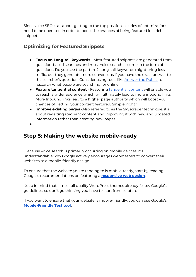Since voice SEO is all about getting to the top position, a series of optimizations need to be operated in order to boost the chances of being featured in a rich snippet.

#### **Optimizing for Featured Snippets**

- **Focus on Long-tail keywords** Most featured snippets are generated from question-based searches and most voice searches come in the form of questions. Do you see the pattern? Long-tail keywords might bring less traffic, but they generate more conversions if you have the exact answer to the searcher's question. Consider using tools like [Answer](https://answerthepublic.com/) the Public to research what people are searching for online.
- **Feature tangential content** Featuring [tangential](https://moz.com/blog/tangential-content) content will enable you to reach a wider audience which will ultimately lead to more inbound links. More Inbound links lead to a higher page authority which will boost your chances of getting your content featured. Simple, right?
- **Improve existing pages** -Also referred to as the Skyscraper technique, it's about revisiting stagnant content and improving it with new and updated information rather than creating new pages.
- ●

#### **Step 5: Making the website mobile-ready**

Because voice search is primarily occurring on mobile devices, it's understandable why Google actively encourages webmasters to convert their websites to a mobile-friendly design.

To ensure that the website you're tending to is mobile-ready, start by reading Google's recommendations on featuring a **[responsive](https://developers.google.com/webmasters/mobile-sites/mobile-seo/responsive-design#using_meta_nameviewport) web design**.

Keep in mind that almost all quality WordPress themes already follow Google's guidelines, so don't go thinking you have to start from scratch.

If you want to ensure that your website is mobile-friendly, you can use Google's **[Mobile-Friendly](https://www.google.com/webmasters/tools/mobile-friendly/) Test tool.**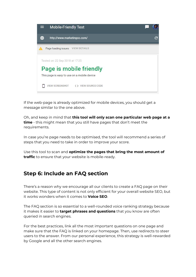

If the web-page is already optimized for mobile devices, you should get a message similar to the one above.

Oh, and keep in mind that **this tool will only scan one particular web page at a time** - this might mean that you still have pages that don't meet the requirements.

In case you're page needs to be optimised, the tool will recommend a series of steps that you need to take in order to improve your score.

Use this tool to scan and **optimize the pages that bring the most amount of traffic** to ensure that your website is mobile-ready.

#### **Step 6: Include an FAQ section**

There's a reason why we encourage all our clients to create a FAQ page on their website. This type of content is not only efficient for your overall website SEO, but it works wonders when it comes to **Voice SEO**.

The FAQ section is so essential to a well-rounded voice ranking strategy because it makes it easier to **target phrases and questions** that you know are often queried in search engines.

For the best practices, link all the most important questions on one page and make sure that the FAQ is linked on your homepage. Then, use redirects to steer users to the answer. From our personal experience, this strategy is well-rewarded by Google and all the other search engines.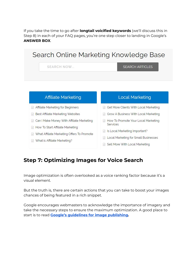If you take the time to go after **longtail voicified keywords** (we'll discuss this in Step 8) in each of your FAQ pages, you're one step closer to landing in Google's **ANSWER BOX**.



#### **Step 7: Optimizing Images for Voice Search**

Image optimization is often overlooked as a voice ranking factor because it's a visual element.

But the truth is, there are certain actions that you can take to boost your images chances of being featured in a rich snippet.

Google encourages webmasters to acknowledge the importance of imagery and take the necessary steps to ensure the maximum optimization. A good place to start is to read **Google's guidelines for image [publishing.](http://support.google.com/webmasters/bin/answer.py?hl=en&answer=114016)**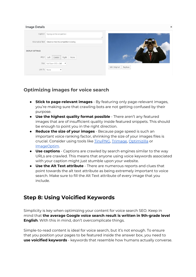#### **Image Details**

|                  | Caption Spying on the competition<br>11                  |                          |
|------------------|----------------------------------------------------------|--------------------------|
|                  | Alternative Text   Observe what the competition is doing |                          |
| DISPLAY SETTINGS |                                                          |                          |
| Align            | Left<br>Right<br>Center<br>None                          |                          |
|                  | Size Full Size - 512 $\times$ 249 $\times$               |                          |
| Link To None     | ۷                                                        | Edit Original<br>Replace |

#### **Optimizing images for voice search**

- **Stick to page-relevant images** By featuring only page-relevant images, you're making sure that crawling bots are not getting confused by their purpose.
- **Use the highest quality format possible** There aren't any featured images that are of insufficient quality inside featured snippets. This should be enough to point you in the right direction.
- **Reduce the size of your images** Because page speed is such an important voice ranking factor, shrinking the size of your images files is crucial. Consider using tools like [TinyPNG](http://tinypng.com/), [Trimage,](https://trimage.org/) [Optimizilla](https://imagecompressor.com/) or [ImageOptim](https://imageoptim.com/).
- **Use captions** Captions are crawled by search engines similar to the way URLs are crawled. This means that anyone using voice keywords associated with your caption might just stumble upon your website.
- **Use the Alt Text attribute** There are numerous reports and clues that point towards the alt text attribute as being extremely important to voice search. Make sure to fill the Alt Text attribute of every image that you include.

#### **Step 8: Using Voicified Keywords**

Simplicity is key when optimizing your content for voice search SEO. Keep in mind that **the average Google voice search result is written in 9th-grade level English**. With this in mind, don't overcomplicate things.

Simple-to-read content is ideal for voice search, but it's not enough. To ensure that you position your pages to be featured inside the answer box, you need to **use voicified keywords** - keywords that resemble how humans actually converse.

 $\overline{\mathbf{x}}$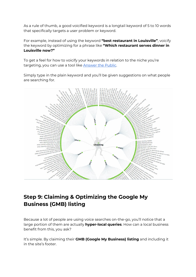As a rule of thumb, a good voicified keyword is a longtail keyword of 5 to 10 words that specifically targets a user problem or keyword.

For example, instead of using the keyword **"best restaurant in Louisville"**, voicify the keyword by optimizing for a phrase like **"Which restaurant serves dinner in Louisville now?"**

To get a feel for how to voicify your keywords in relation to the niche you're targeting, you can use a tool like **[Answer](https://answerthepublic.com/) the Public**.

Simply type in the plain keyword and you'll be given suggestions on what people are searching for.



#### **Step 9: Claiming & Optimizing the Google My Business (GMB) listing**

Because a lot of people are using voice searches on-the-go, you'll notice that a large portion of them are actually **hyper-local queries**. How can a local business benefit from this, you ask?

It's simple. By claiming their **GMB (Google My Business) listing** and including it in the site's footer.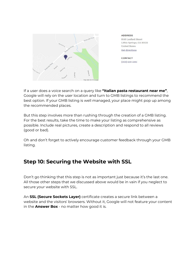

**ADDRESS** 9143 Loxford Street Lithia Springs, GA 30122 **United States** Get directions

**CONTACT**  $(203) 559 - 5381$ 

If a user does a voice search on a query like **"Italian pasta restaurant near me"**, Google will rely on the user location and turn to GMB listings to recommend the best option. If your GMB listing is well managed, your place might pop up among the recommended places.

But this step involves more than rushing through the creation of a GMB listing. For the best results, take the time to make your listing as comprehensive as possible. Include real pictures, create a description and respond to all reviews (good or bad).

Oh and don't forget to actively encourage customer feedback through your GMB listing.

#### **Step 10: Securing the Website with SSL**

Don't go thinking that this step is not as important just because it's the last one. All those other steps that we discussed above would be in vain if you neglect to secure your website with SSL.

An **SSL (Secure Sockets Layer)** certificate creates a secure link between a website and the visitors' browsers. Without it, Google will not feature your content in the **Answer Box** - no matter how good it is.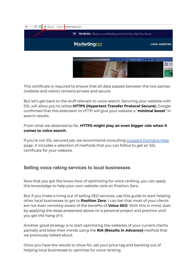



This certificate is required to ensure that all data passed between the two parties (website and visitor) remains private and secure.

But let's get back to the stuff relevant to voice search. Securing your website with SSL will allow you to utilize **HTTPS (Hypertext Transfer Protocol Secure).** Google confirmed that this extension to HTTP will give your website a "**minimal boost**" in search results.

From what we observed so far, **HTTPS might play an even bigger role when it comes to voice search**.

If you're not SSL secured yet, we recommend consulting Google's [Domains](https://support.google.com/domains/answer/7630973?hl=en) Help page. It includes a selection of methods that you can follow to get an SSL certificate for your website.

#### **Selling voice raking services to local businesses**

Now that you got the know-how of optimizing for voice ranking, you can apply this knowledge to help your own website rank on Position Zero.

But if you make a living out of selling SEO services, use this guide to start helping other local businesses to get to **Position Zero**. I can bet that most of your clients are not even remotely aware of the benefits of **Voice SEO**. With this in mind, start by applying the steps presented above on a personal project and practice until you get the hang of it.

Another good strategy is to start optimizing the websites of your current clients partially and blow their minds using the **RIA (Results in Advance)** method that we previously talked about.

Once you have the results to show for, set your price tag and banking out of helping local businesses to optimize for voice ranking.